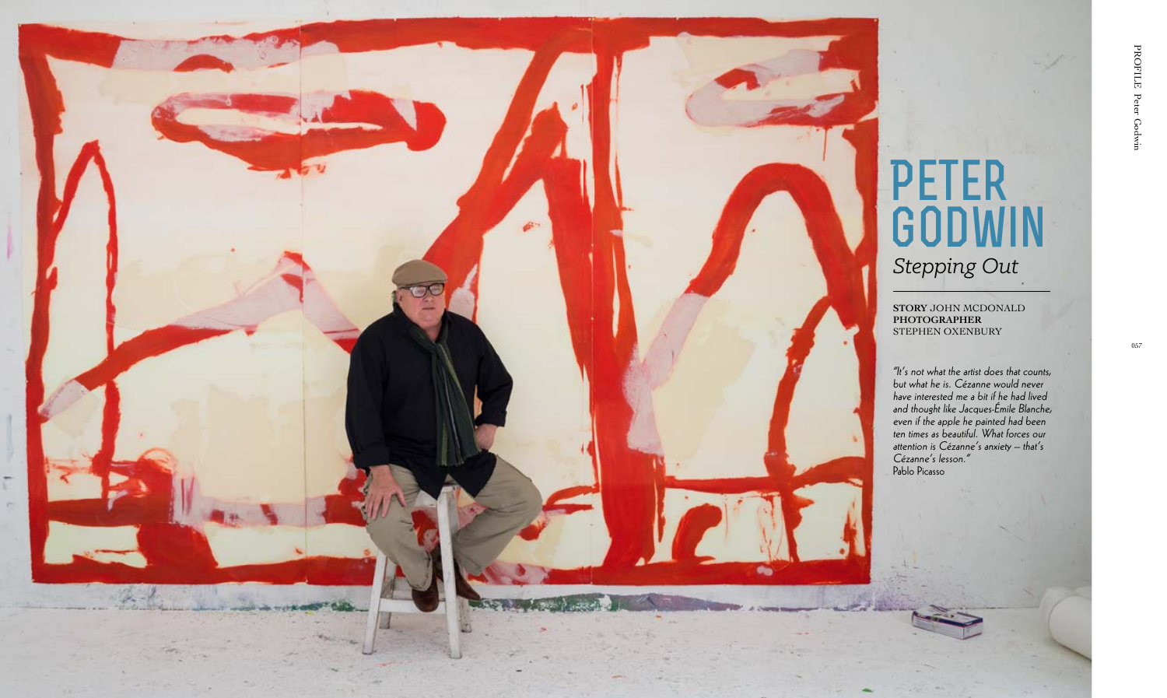

057

**STORY** JOHN MCDONALD **PHOTOGRAPHER** STEPHEN OXENBURY

## **Peter Godwin** *Stepping Out*

"It's not what the artist does that counts, but what he is. Cézanne would never have interested me a bit if he had lived and thought like Jacques-Émile Blanche, even if the apple he painted had been ten times as beautiful. What forces our attention is Cézanne's anxiety – that's Cézanne's lesson." Pablo Picasso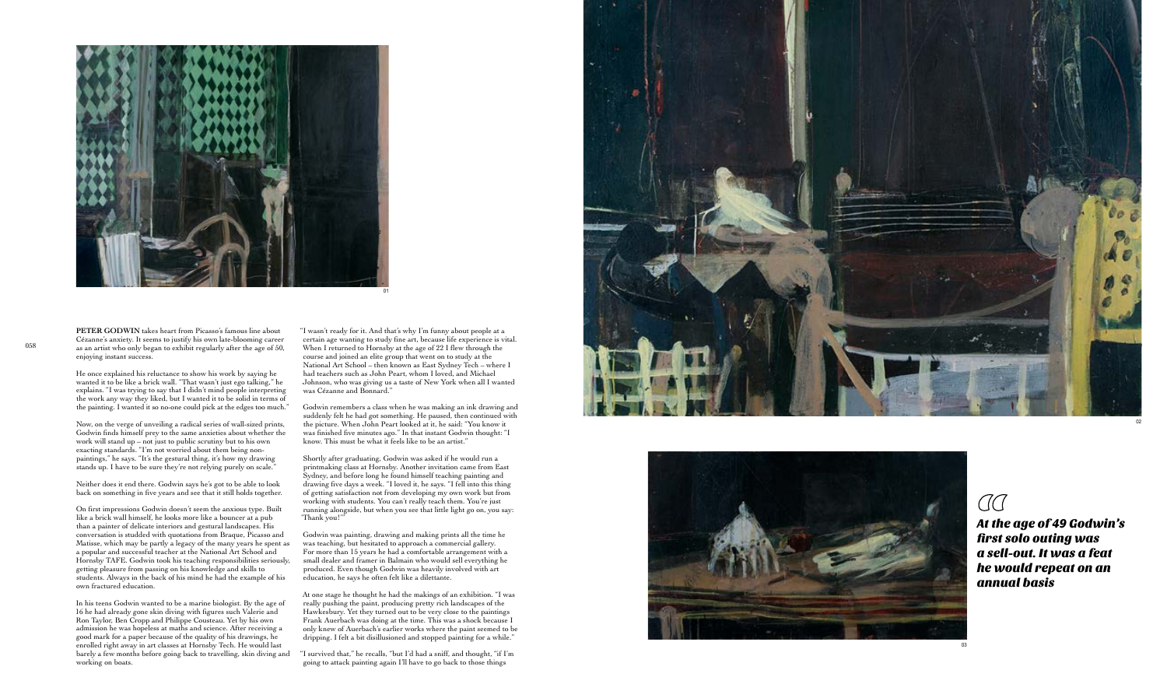





## $\overline{C}C$

At the age of 49 Godwin's first solo outing was a sell-out. It was a feat he would repeat on an annual basis

**PETER GODWIN** takes heart from Picasso's famous line about Cézanne's anxiety. It seems to justify his own late-blooming career enjoying instant success.

He once explained his reluctance to show his work by saying he wanted it to be like a brick wall. "That wasn't just ego talking," he explains. "I was trying to say that I didn't mind people interpreting the work any way they liked, but I wanted it to be solid in terms of the painting. I wanted it so no-one could pick at the edges too much."

Now, on the verge of unveiling a radical series of wall-sized prints, Godwin finds himself prey to the same anxieties about whether the work will stand up – not just to public scrutiny but to his own exacting standards. "I'm not worried about them being nonpaintings," he says. "It's the gestural thing, it's how my drawing stands up. I have to be sure they're not relying purely on scale."

Neither does it end there. Godwin says he's got to be able to look back on something in five years and see that it still holds together.

On first impressions Godwin doesn't seem the anxious type. Built like a brick wall himself, he looks more like a bouncer at a pub than a painter of delicate interiors and gestural landscapes. His conversation is studded with quotations from Braque, Picasso and Matisse, which may be partly a legacy of the many years he spent as a popular and successful teacher at the National Art School and Hornsby TAFE. Godwin took his teaching responsibilities seriously, getting pleasure from passing on his knowledge and skills to students. Always in the back of his mind he had the example of his own fractured education.

In his teens Godwin wanted to be a marine biologist. By the age of 16 he had already gone skin diving with figures such Valerie and Ron Taylor, Ben Cropp and Philippe Cousteau. Yet by his own admission he was hopeless at maths and science. After receiving a good mark for a paper because of the quality of his drawings, he enrolled right away in art classes at Hornsby Tech. He would last barely a few months before going back to travelling, skin diving and working on boats.

"I wasn't ready for it. And that's why I'm funny about people at a certain age wanting to study fine art, because life experience is vital. When I returned to Hornsby at the age of 22 I flew through the course and joined an elite group that went on to study at the National Art School – then known as East Sydney Tech – where I had teachers such as John Peart, whom I loved, and Michael Johnson, who was giving us a taste of New York when all I wanted was Cézanne and Bonnard."

Godwin remembers a class when he was making an ink drawing and suddenly felt he had got something. He paused, then continued with the picture. When John Peart looked at it, he said: "You know it was finished five minutes ago." In that instant Godwin thought: "I know. This must be what it feels like to be an artist."

Shortly after graduating, Godwin was asked if he would run a printmaking class at Hornsby. Another invitation came from East Sydney, and before long he found himself teaching painting and drawing five days a week. "I loved it, he says. "I fell into this thing of getting satisfaction not from developing my own work but from working with students. You can't really teach them. You're just running alongside, but when you see that little light go on, you say: 'Thank you!'"

Godwin was painting, drawing and making prints all the time he was teaching, but hesitated to approach a commercial gallery. For more than 15 years he had a comfortable arrangement with a small dealer and framer in Balmain who would sell everything he produced. Even though Godwin was heavily involved with art education, he says he often felt like a dilettante.

At one stage he thought he had the makings of an exhibition. "I was really pushing the paint, producing pretty rich landscapes of the Hawkesbury. Yet they turned out to be very close to the paintings Frank Auerbach was doing at the time. This was a shock because I only knew of Auerbach's earlier works where the paint seemed to be dripping. I felt a bit disillusioned and stopped painting for a while."

"I survived that," he recalls, "but I'd had a sniff, and thought, "if I'm going to attack painting again I'll have to go back to those things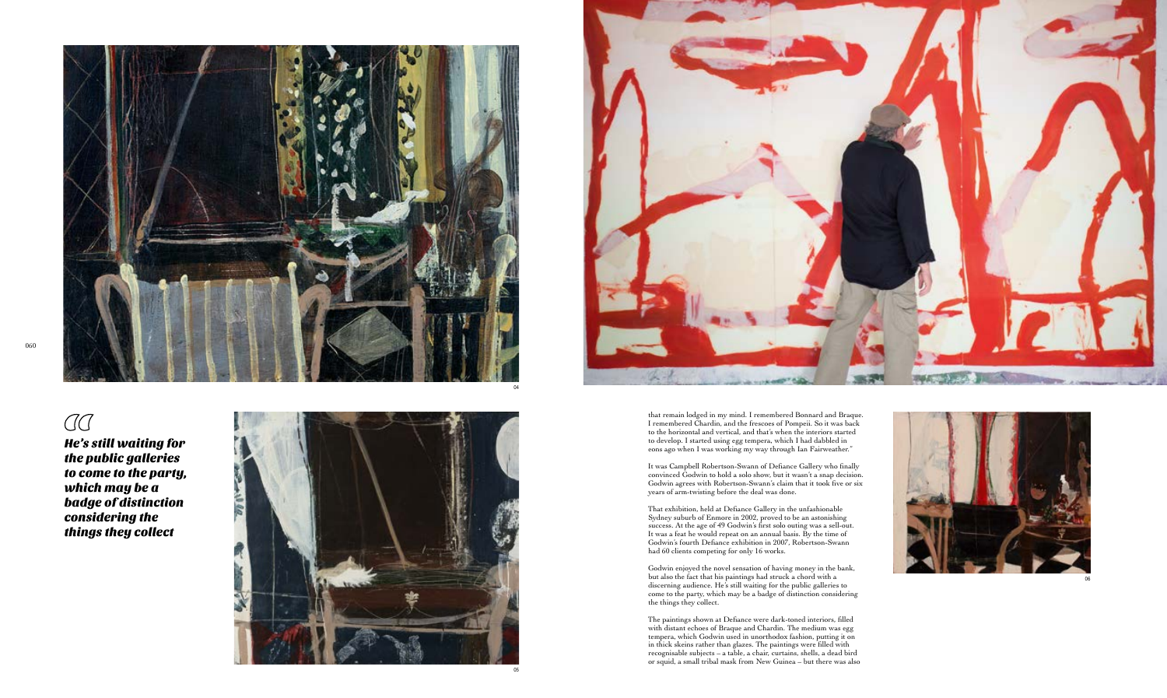

He's still waiting for the public galleries to come to the party, which may be a badge of distinction considering the things they collect

06

that remain lodged in my mind. I remembered Bonnard and Braque. I remembered Chardin, and the frescoes of Pompeii. So it was back to the horizontal and vertical, and that's when the interiors started to develop. I started using egg tempera, which I had dabbled in eons ago when I was working my way through Ian Fairweather."

It was Campbell Robertson-Swann of Defiance Gallery who finally convinced Godwin to hold a solo show, but it wasn't a snap decision. Godwin agrees with Robertson-Swann's claim that it took five or six years of arm-twisting before the deal was done.

That exhibition, held at Defiance Gallery in the unfashionable Sydney suburb of Enmore in 2002, proved to be an astonishing success. At the age of 49 Godwin's first solo outing was a sell-out. It was a feat he would repeat on an annual basis. By the time of Godwin's fourth Defiance exhibition in 2007, Robertson-Swann had 60 clients competing for only 16 works.

Godwin enjoyed the novel sensation of having money in the bank, but also the fact that his paintings had struck a chord with a discerning audience. He's still waiting for the public galleries to come to the party, which may be a badge of distinction considering the things they collect.

The paintings shown at Defiance were dark-toned interiors, filled with distant echoes of Braque and Chardin. The medium was egg tempera, which Godwin used in unorthodox fashion, putting it on in thick skeins rather than glazes. The paintings were filled with recognisable subjects – a table, a chair, curtains, shells, a dead bird or squid, a small tribal mask from New Guinea – but there was also



## $\overline{C}$

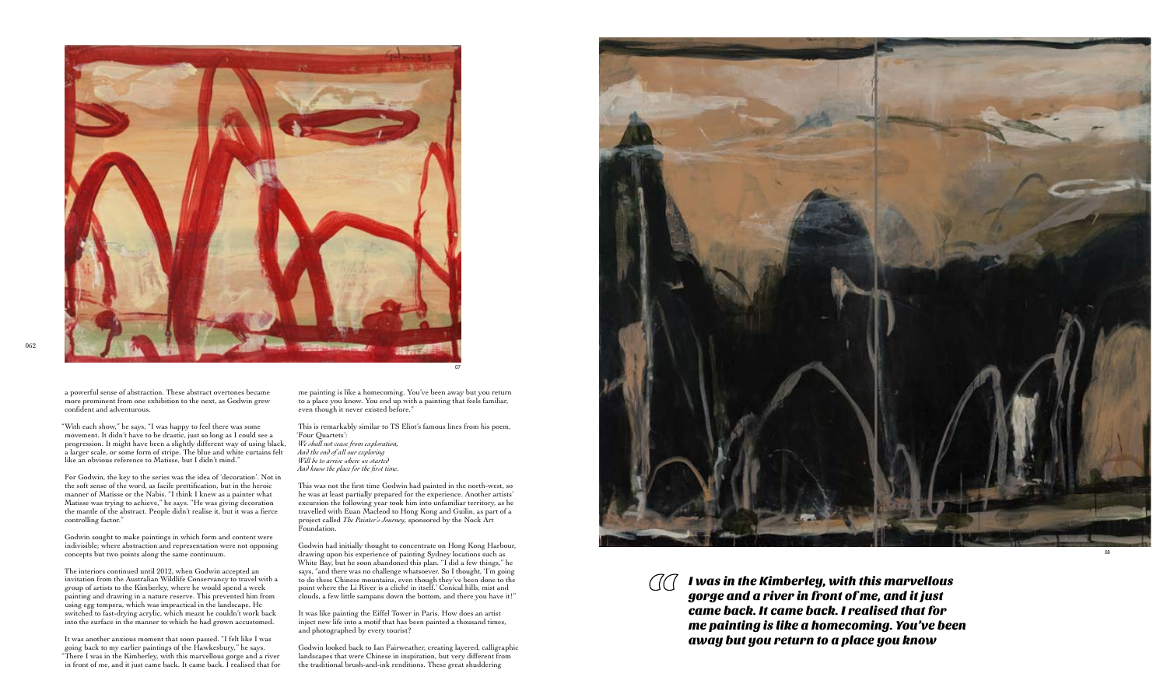I was in the Kimberley, with this marvellous  $\bigcap\bigcap$ gorge and a river in front of me, and it just came back. It came back. I realised that for me painting is like a homecoming. You've been away but you return to a place you know

a powerful sense of abstraction. These abstract overtones became more prominent from one exhibition to the next, as Godwin grew confident and adventurous.

"With each show," he says, "I was happy to feel there was some movement. It didn't have to be drastic, just so long as I could see a progression. It might have been a slightly different way of using black, a larger scale, or some form of stripe. The blue and white curtains felt like an obvious reference to Matisse, but I didn't mind."

For Godwin, the key to the series was the idea of 'decoration'. Not in the soft sense of the word, as facile prettification, but in the heroic manner of Matisse or the Nabis. "I think I knew as a painter what Matisse was trying to achieve," he says. "He was giving decoration the mantle of the abstract. People didn't realise it, but it was a fierce controlling factor."

Godwin sought to make paintings in which form and content were indivisible; where abstraction and representation were not opposing concepts but two points along the same continuum.

The interiors continued until 2012, when Godwin accepted an invitation from the Australian Wildlife Conservancy to travel with a group of artists to the Kimberley, where he would spend a week painting and drawing in a nature reserve. This prevented him from using egg tempera, which was impractical in the landscape. He switched to fast-drying acrylic, which meant he couldn't work back into the surface in the manner to which he had grown accustomed.



It was another anxious moment that soon passed. "I felt like I was going back to my earlier paintings of the Hawkesbury," he says. "There I was in the Kimberley, with this marvellous gorge and a river in front of me, and it just came back. It came back. I realised that for

me painting is like a homecoming. You've been away but you return to a place you know. You end up with a painting that feels familiar, even though it never existed before."

This is remarkably similar to TS Eliot's famous lines from his poem, 'Four Quartets': *We shall not cease from exploration, And the end of all our exploring Will be to arrive where we started And know the place for the first time* .

This was not the first time Godwin had painted in the north-west, so he was at least partially prepared for the experience. Another artists' excursion the following year took him into unfamiliar territory, as he travelled with Euan Macleod to Hong Kong and Guilin, as part of a project called *The Painter's Journey*, sponsored by the Nock Art Foundation.

Godwin had initially thought to concentrate on Hong Kong Harbour, drawing upon his experience of painting Sydney locations such as White Bay, but he soon abandoned this plan. "I did a few things," he says, "and there was no challenge whatsoever. So I thought, 'I'm going to do these Chinese mountains, even though they've been done to the point where the Li River is a cliché in itself.' Conical hills, mist and clouds, a few little sampans down the bottom, and there you have it!"

It was like painting the Eiffel Tower in Paris. How does an artist inject new life into a motif that has been painted a thousand times, and photographed by every tourist?

Godwin looked back to Ian Fairweather, creating layered, calligraphic landscapes that were Chinese in inspiration, but very different from the traditional brush-and-ink renditions. These great shuddering